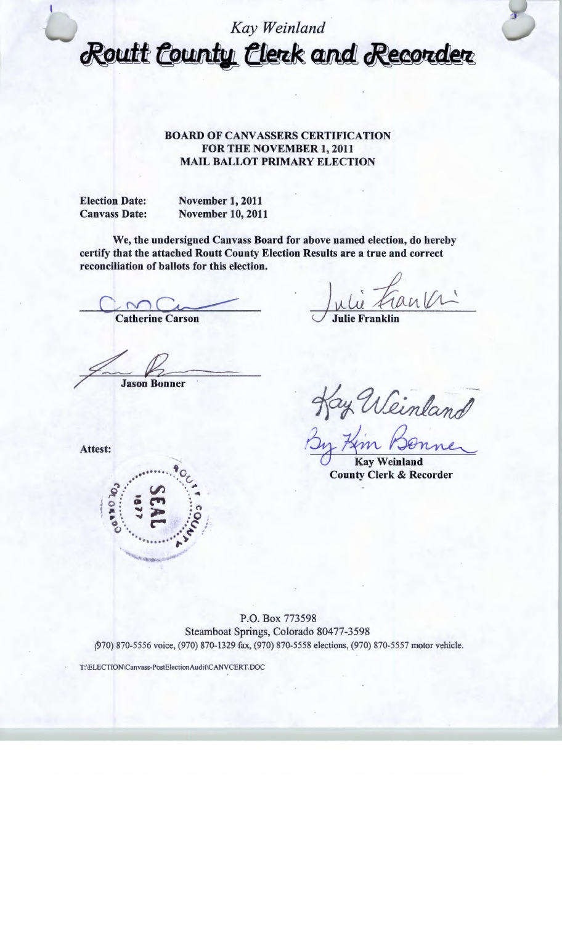## *Kay Weinland*  Routt County Clerk and Recorder

## BOARD OF CANVASSERS CERTIFICATION FOR THE NOVEMBER 1, 2011 MAIL BALLOT PRIMARY ELECTION

Election Date: Canvass Date: November 1, 2011 November 10,2011

We, the undersigned Canvass Board for above named election, do hereby certify that the attached Routt County Election Results are a true and correct reconciliation of ballots for this election.

Catherine Carson

**Jason Bonner** 

Kay Weinland<br>By Kin Benner<br>County Clerk & Recorder

Attest:



Kay Weinland

County Clerk

P.O. Box 773598 Steamboat Springs, Colorado 80477-3598 *(970)* 870-5556 voice, (970) 870-1329 fax, (970) 870-5558 elections, (970) 870-5557 motor vehicle.

T:\ELECTION\Canvass-PostElectionAudit\CANVCERT.DOC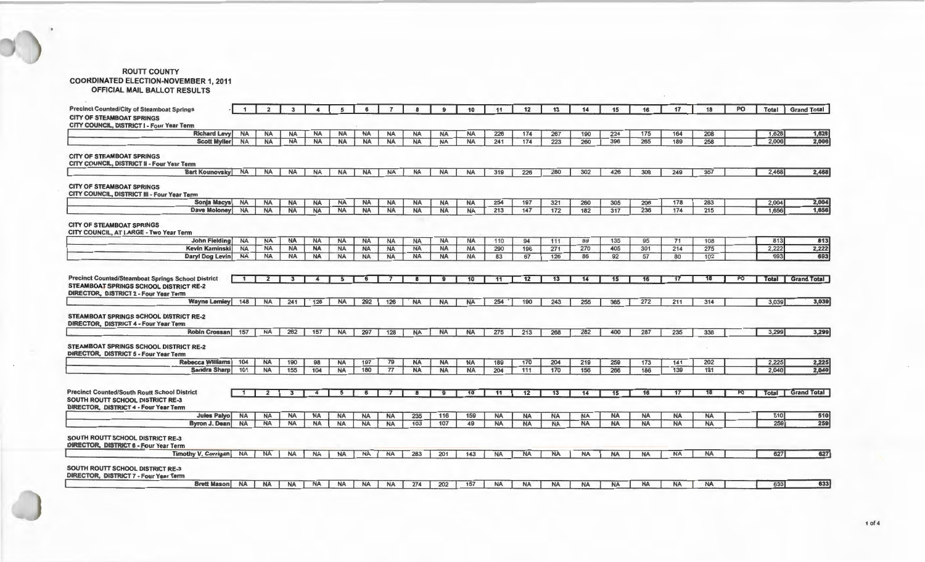## ROUTT COUNTY COORDINATED ELECTION-NOVEMBER 1, 2011 OFFICIAL MAIL BALLOT RESULTS

| <b>Precinct Counted/City of Steamboat Springs</b>                                                                                            |              |           |           |           | 5         |           |           |                  |              | 10        | 11        | 12        | 13        | 14        | 15        | 16        | 17        | 18        | PO | Total | <b>Grand Total</b> |
|----------------------------------------------------------------------------------------------------------------------------------------------|--------------|-----------|-----------|-----------|-----------|-----------|-----------|------------------|--------------|-----------|-----------|-----------|-----------|-----------|-----------|-----------|-----------|-----------|----|-------|--------------------|
| <b>CITY OF STEAMBOAT SPRINGS</b>                                                                                                             |              |           |           |           |           |           |           |                  |              |           |           |           |           |           |           |           |           |           |    |       |                    |
| CITY COUNCIL, DISTRICT I - Four Year Term                                                                                                    |              |           |           |           |           |           |           |                  |              |           |           |           |           |           |           |           |           |           |    |       |                    |
| <b>Richard Levy</b>                                                                                                                          | <b>NA</b>    | <b>NA</b> | <b>NA</b> | <b>NA</b> | <b>NA</b> | <b>NA</b> | <b>NA</b> | <b>NA</b>        | <b>NA</b>    | <b>NA</b> | 226       | 174       | 267       | 190       | 224       | 175       | 164       | 208       |    | 1,628 | 1,628              |
| <b>Scott Myller</b>                                                                                                                          | <b>NA</b>    | <b>NA</b> | <b>NA</b> | <b>NA</b> | <b>NA</b> | <b>NA</b> | <b>NA</b> | <b>NA</b>        | <b>NA</b>    | <b>NA</b> | 241       | 174       | 223       | 260       | 396       | 265       | 189       | 258       |    | 2,006 | 2,006              |
| <b>CITY OF STEAMBOAT SPRINGS</b><br>CITY COUNCIL, DISTRICT II - Four Year Term                                                               |              |           |           |           |           |           |           |                  |              |           |           |           |           |           |           |           |           |           |    |       |                    |
| <b>Bart Kounovsky</b>                                                                                                                        | <b>NA</b>    | <b>NA</b> | <b>NA</b> | <b>NA</b> | <b>NA</b> | <b>NA</b> | <b>NA</b> | <b>NA</b>        | <b>NA</b>    | <b>NA</b> | 319       | 226       | 280       | 302       | 426       | 309       | 249       | 357       |    | 2,468 | 2,468              |
| <b>CITY OF STEAMBOAT SPRINGS</b><br>CITY COUNCIL, DISTRICT III - Four Year Term                                                              |              |           |           |           |           |           |           |                  |              |           |           |           |           |           |           |           |           |           |    |       |                    |
| Sonja Macys                                                                                                                                  | <b>NA</b>    | <b>NA</b> | <b>NA</b> | <b>NA</b> | <b>NA</b> | <b>NA</b> | <b>NA</b> | <b>NA</b>        | <b>NA</b>    | <b>NA</b> | 254       | 197       | 321       | 260       | 305       | 206       | 178       | 283       |    | 2,004 | 2,004              |
| <b>Dave Moloney</b>                                                                                                                          | <b>NA</b>    | <b>NA</b> | <b>NA</b> | <b>NA</b> | <b>NA</b> | <b>NA</b> | <b>NA</b> | <b>NA</b>        | <b>NA</b>    | <b>NA</b> | 213       | 147       | 172       | 182       | 317       | 236       | 174       | 215       |    | 1,656 | 1,656              |
| <b>CITY OF STEAMBOAT SPRINGS</b><br>CITY COUNCIL, AT LARGE - Two Year Term                                                                   |              |           |           |           |           |           |           |                  |              |           |           |           |           |           |           |           |           |           |    |       |                    |
| John Fielding                                                                                                                                | <b>NA</b>    | <b>NA</b> | <b>NA</b> | <b>NA</b> | <b>NA</b> | <b>NA</b> | <b>NA</b> | <b>NA</b>        | <b>NA</b>    | <b>NA</b> | 110       | 94        | 111       | 89        | 135       | 95        | 71        | 108       |    | 813   | 813                |
| Kevin Kaminski                                                                                                                               | <b>NA</b>    | <b>NA</b> | <b>NA</b> | <b>NA</b> | <b>NA</b> | <b>NA</b> | <b>NA</b> | <b>NA</b>        | <b>NA</b>    | <b>NA</b> | 290       | 196       | 271       | 270       | 405       | 301       | 214       | 275       |    | 2.222 | 2,222              |
| Daryl Dog Levin                                                                                                                              | <b>NA</b>    | <b>NA</b> | <b>NA</b> | <b>NA</b> | <b>NA</b> | <b>NA</b> | <b>NA</b> | <b>NA</b>        | <b>NA</b>    | <b>NA</b> | 83        | 67        | 126       | 86        | 92        | 57        | 80        | 102       |    | 693   | 693                |
| <b>Precinct Counted/Steamboat Springs School District</b><br>STEAMBOAT SPRINGS SCHOOL DISTRICT RE-2<br>DIRECTOR, DISTRICT 2 - Four Year Term | $\mathbf{1}$ |           |           |           | 5         |           |           |                  |              | 10        | 11        | 12        | 13        | 14        | 15        | 16        | 17        |           | PO |       | Total Grand Total  |
| Wayne Lemley                                                                                                                                 | 148          | <b>NA</b> | 241       | 128       | <b>NA</b> | 292       | 126       | <b>NA</b>        | <b>NA</b>    | <b>NA</b> | 254       | 190       | 243       | 255       | 365       | 272       | 211       | 314       |    | 3,039 | 3,039              |
| STEAMBOAT SPRINGS SCHOOL DISTRICT RE-2<br><b>DIRECTOR, DISTRICT 4 - Four Year Term</b><br><b>Robin Crossani</b>                              |              |           |           |           |           |           |           |                  |              |           |           |           |           |           |           |           |           |           |    |       |                    |
|                                                                                                                                              | 157          | <b>NA</b> | 262       | 157       | <b>NA</b> | 297       | 128       | <b>NA</b>        | <b>NA</b>    | <b>NA</b> | 275       | 213       | 268       | 282       | 400       | 287       | 235       | 338       |    | 3.299 | 3,299              |
| <b>STEAMBOAT SPRINGS SCHOOL DISTRICT RE-2</b><br><b>DIRECTOR, DISTRICT 5 - Four Year Term</b>                                                |              |           |           |           |           |           |           |                  |              |           |           |           |           |           |           |           |           |           |    |       |                    |
| Rebecca Williams                                                                                                                             | 104          | <b>NA</b> | 190       | 98        | <b>NA</b> | 197       | 79        | <b>NA</b>        | <b>NA</b>    | <b>NA</b> | 189       | 170       | 204       | 219       | 259       | 173       | 141       | 202       |    | 2.225 | 2,225              |
| Sandra Sharp                                                                                                                                 | 101          | <b>NA</b> | 155       | 104       | <b>NA</b> | 180       | 77        | <b>NA</b>        | <b>NA</b>    | <b>NA</b> | 204       | 111       | 170       | 156       | 266       | 186       | 139       | 191       |    | 2.040 | 2,040              |
|                                                                                                                                              |              |           |           |           |           |           |           |                  |              |           |           |           |           |           |           |           |           |           |    |       |                    |
| <b>Precinct Counted/South Routt School District</b>                                                                                          |              |           | 3         |           | 5         | 6         |           |                  | $\mathbf{9}$ | 10        | 11        | 12        | 13        | 14        | 15        | 16        | 17        | 18        | PO | Total | <b>Grand Total</b> |
| <b>SOUTH ROUTT SCHOOL DISTRICT RE-3</b><br><b>DIRECTOR, DISTRICT 4 - Four Year Term</b>                                                      |              |           |           |           |           |           |           |                  |              |           |           |           |           |           |           |           |           |           |    |       |                    |
| <b>Jules Palyo</b>                                                                                                                           | <b>NA</b>    | <b>NA</b> | <b>NA</b> | <b>NA</b> | <b>NA</b> | <b>NA</b> | <b>NA</b> | 235              | 116          | 159       | <b>NA</b> | <b>NA</b> | <b>NA</b> | <b>NA</b> | <b>NA</b> | <b>NA</b> | <b>NA</b> | <b>NA</b> |    | 510   | 510                |
| <b>Byron J. Dean</b>                                                                                                                         | <b>NA</b>    | <b>NA</b> | <b>NA</b> | <b>NA</b> | <b>NA</b> | <b>NA</b> | <b>NA</b> | $\overline{103}$ | 107          | 49        | <b>NA</b> | <b>NA</b> | <b>NA</b> | <b>NA</b> | <b>NA</b> | <b>NA</b> | <b>NA</b> | <b>NA</b> |    | 259   | 259                |
| <b>SOUTH ROUTT SCHOOL DISTRICT RE-3</b><br><b>DIRECTOR, DISTRICT 6 - Four Year Term</b>                                                      |              |           |           |           |           |           |           |                  |              |           |           |           |           |           |           |           |           |           |    |       |                    |
| Timothy V. Corrigan                                                                                                                          | <b>NA</b>    | NA        | NA        | <b>NA</b> | <b>NA</b> | <b>NA</b> | NA        | 263              | 201          | 143       | <b>NA</b> | <b>NA</b> | <b>NA</b> | <b>NA</b> | <b>NA</b> | <b>NA</b> | <b>NA</b> | <b>NA</b> |    | 627   | 627                |
| <b>SOUTH ROUTT SCHOOL DISTRICT RE-3</b><br>DIRECTOR, DISTRICT 7 - Four Year Term                                                             |              |           |           |           |           |           |           |                  |              |           |           |           |           |           |           |           |           |           |    |       |                    |
| <b>Brett Mason NA</b>                                                                                                                        |              | <b>NA</b> | <b>NA</b> | <b>NA</b> | <b>NA</b> | <b>NA</b> | <b>NA</b> | 274              | 202          |           | <b>NA</b> |           | ΝA        | NA        | NA        | <b>NA</b> | <b>NA</b> | <b>NA</b> |    | 633   | 633                |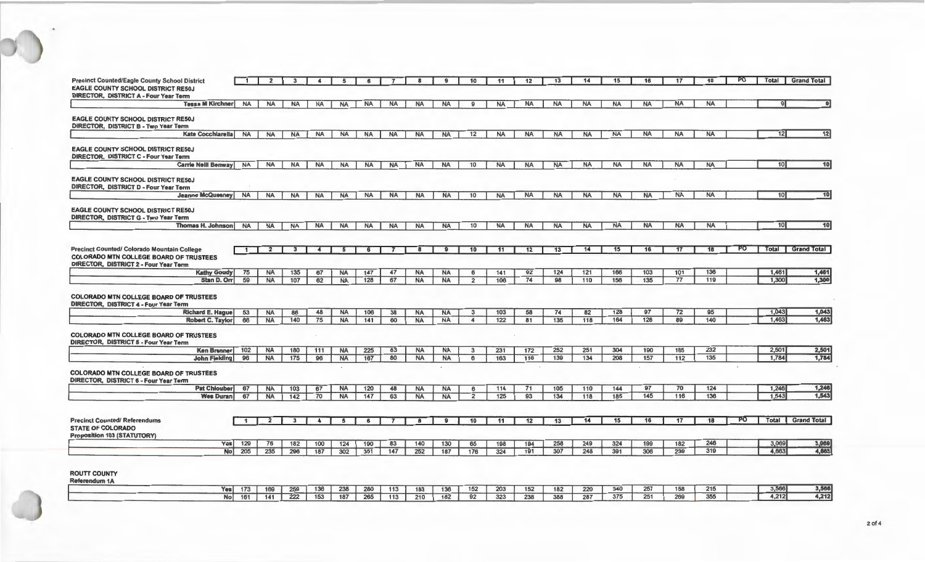| <b>Precinct Counted/Eagle County School District</b>                                      | $\mathbf{1}$ | $\overline{2}$ | $\mathbf{3}$ | $\overline{4}$       | 5               | 6          | $\overline{7}$ | 8                       | 9              | 10                   | 11        | 12         | 13         | 14         | 15         | 16         | 17         | 18         | PO        | <b>Total</b>    | <b>Grand Total</b>                                                                |
|-------------------------------------------------------------------------------------------|--------------|----------------|--------------|----------------------|-----------------|------------|----------------|-------------------------|----------------|----------------------|-----------|------------|------------|------------|------------|------------|------------|------------|-----------|-----------------|-----------------------------------------------------------------------------------|
| <b>EAGLE COUNTY SCHOOL DISTRICT RE50J</b><br><b>DIRECTOR, DISTRICT A - Four Year Term</b> |              |                |              |                      |                 |            |                |                         |                |                      |           |            |            |            |            |            |            |            |           |                 |                                                                                   |
| <b>Tessa M Kirchner</b>                                                                   | <b>NA</b>    | <b>NA</b>      | <b>NA</b>    | <b>NA</b>            | <b>NA</b>       | <b>NA</b>  | <b>NA</b>      | <b>NA</b>               | <b>NA</b>      | 9                    | <b>NA</b> | <b>NA</b>  | <b>NA</b>  | <b>NA</b>  | <b>NA</b>  | <b>NA</b>  | <b>NA</b>  | <b>NA</b>  |           | $\mathbf{Q}$    |                                                                                   |
|                                                                                           |              |                |              |                      |                 |            |                |                         |                |                      |           |            |            |            |            |            |            |            |           |                 |                                                                                   |
| <b>EAGLE COUNTY SCHOOL DISTRICT RE50J</b><br><b>DIRECTOR, DISTRICT B - Two Year Term</b>  |              |                |              |                      |                 |            |                |                         |                |                      |           |            |            |            |            |            |            |            |           |                 |                                                                                   |
| <b>Kate Cocchlarella</b>                                                                  | <b>NA</b>    | <b>NA</b>      | <b>NA</b>    | <b>NA</b>            | <b>NA</b>       | <b>NA</b>  | <b>NA</b>      | <b>NA</b>               | <b>NA</b>      | 12                   | <b>NA</b> | <b>NA</b>  | <b>NA</b>  | <b>NA</b>  | <b>NA</b>  | <b>NA</b>  | <b>NA</b>  | <b>NA</b>  |           | 12              | 12                                                                                |
|                                                                                           |              |                |              |                      |                 |            |                |                         |                |                      |           |            |            |            |            |            |            |            |           |                 |                                                                                   |
| <b>EAGLE COUNTY SCHOOL DISTRICT RE50J</b>                                                 |              |                |              |                      |                 |            |                |                         |                |                      |           |            |            |            |            |            |            |            |           |                 |                                                                                   |
| DIRECTOR, DISTRICT C - Four Year Term<br><b>Carrie Neill Benway</b>                       | <b>NA</b>    | <b>NA</b>      | <b>NA</b>    | <b>NA</b>            | <b>NA</b>       | <b>NA</b>  | <b>NA</b>      | <b>NA</b>               | <b>NA</b>      | 10                   | <b>NA</b> | <b>NA</b>  | <b>NA</b>  | <b>NA</b>  | <b>NA</b>  | <b>NA</b>  | <b>NA</b>  | <b>NA</b>  |           | 10 <sup>1</sup> | 10                                                                                |
|                                                                                           |              |                |              |                      |                 |            |                |                         |                |                      |           |            |            |            |            |            |            |            |           |                 |                                                                                   |
| <b>EAGLE COUNTY SCHOOL DISTRICT RE50J</b>                                                 |              |                |              |                      |                 |            |                |                         |                |                      |           |            |            |            |            |            |            |            |           |                 |                                                                                   |
| <b>DIRECTOR, DISTRICT D - Four Year Term</b>                                              |              |                |              |                      |                 |            |                |                         |                |                      |           |            |            |            |            |            |            |            |           |                 |                                                                                   |
| <b>Jeanne McQueeney</b>                                                                   | <b>NA</b>    | <b>NA</b>      | <b>NA</b>    | <b>NA</b>            | <b>NA</b>       | <b>NA</b>  | <b>NA</b>      | <b>NA</b>               | <b>NA</b>      | 10                   | <b>NA</b> | <b>NA</b>  | <b>NA</b>  | <b>NA</b>  | <b>NA</b>  | <b>NA</b>  | <b>NA</b>  | <b>NA</b>  |           | 10 <sup>1</sup> | 10                                                                                |
| <b>EAGLE COUNTY SCHOOL DISTRICT RE50J</b>                                                 |              |                |              |                      |                 |            |                |                         |                |                      |           |            |            |            |            |            |            |            |           |                 |                                                                                   |
| <b>DIRECTOR, DISTRICT G - Two Year Term</b>                                               |              |                |              |                      |                 |            |                |                         |                |                      |           |            |            |            |            |            |            |            |           |                 |                                                                                   |
| <b>Thomas H. Johnson</b>                                                                  | <b>NA</b>    | <b>NA</b>      | <b>NA</b>    | <b>NA</b>            | <b>NA</b>       | <b>NA</b>  | <b>NA</b>      | <b>NA</b>               | <b>NA</b>      | 10                   | <b>NA</b> | <b>NA</b>  | <b>NA</b>  | <b>NA</b>  | <b>NA</b>  | <b>NA</b>  | <b>NA</b>  | <b>NA</b>  |           | 10 <sub>l</sub> | 10                                                                                |
|                                                                                           |              |                |              |                      |                 |            |                |                         |                |                      |           |            |            |            |            |            |            |            |           |                 |                                                                                   |
| <b>Precinct Counted/ Colorado Mountain College</b>                                        | $\mathbf{1}$ | $\overline{z}$ |              | $\mathbf{A}$         |                 |            |                |                         |                | 10                   | 11        | 12         | 13         | 14         | 15         | 16         | 17         |            | PO        | Total           | <b>Grand Total</b>                                                                |
| <b>COLORADO MTN COLLEGE BOARD OF TRUSTEES</b>                                             |              |                |              |                      |                 |            |                |                         |                |                      |           |            |            |            |            |            |            |            |           |                 |                                                                                   |
| <b>DIRECTOR, DISTRICT 2 - Four Year Term</b>                                              |              |                |              |                      |                 |            |                |                         |                |                      |           |            |            |            |            |            |            |            |           |                 |                                                                                   |
|                                                                                           |              |                |              |                      |                 |            |                |                         |                |                      |           |            |            |            |            |            |            |            |           |                 |                                                                                   |
| <b>Kathy Goudy</b>                                                                        | 75           | <b>NA</b>      | 135          | 67                   | <b>NA</b>       | 147        | 47             | <b>NA</b>               | <b>NA</b>      | 6                    | $141$     | 92         | 124        | $121$      | 166        | 103        | 101        | 136        |           | 1,461           | 1,461                                                                             |
| Stan D. Orr                                                                               | 59           | <b>NA</b>      | 107          | 62                   | <b>NA</b>       | 128        | 67             | <b>NA</b>               | <b>NA</b>      | $\overline{2}$       | 106       | 74         | 98         | 110        | 156        | 135        | 77         | 119        |           | 1,300           | 1,300                                                                             |
|                                                                                           |              |                |              |                      |                 |            |                |                         |                |                      |           |            |            |            |            |            |            |            |           |                 |                                                                                   |
| <b>COLORADO MTN COLLEGE BOARD OF TRUSTEES</b>                                             |              |                |              |                      |                 |            |                |                         |                |                      |           |            |            |            |            |            |            |            |           |                 |                                                                                   |
| <b>DIRECTOR, DISTRICT 4 - Four Year Term</b><br><b>Richard E. Hague</b>                   | 53           | <b>NA</b>      | 86           | 48                   | <b>NA</b>       | 106        | 38             | <b>NA</b>               | <b>NA</b>      | $\mathbf{3}$         | 103       | 58         | 74         | 82         | 128        | 97         | 72         | 95         |           | 1,043           | 1,043                                                                             |
| Robert C. Taylor                                                                          | 66           | <b>NA</b>      | 140          | 75                   | <b>NA</b>       | 141        | 60             | <b>NA</b>               | <b>NA</b>      | $\blacktriangleleft$ | 122       | 81         | 135        | 118        | 164        | 128        | 89         | 140        |           | 1.463           |                                                                                   |
|                                                                                           |              |                |              |                      |                 |            |                |                         |                |                      |           |            |            |            |            |            |            |            |           |                 |                                                                                   |
| <b>COLORADO MTN COLLEGE BOARD OF TRUSTEES</b>                                             |              |                |              |                      |                 |            |                |                         |                |                      |           |            |            |            |            |            |            |            |           |                 |                                                                                   |
| Ken Brenner                                                                               | 102          | <b>NA</b>      | 180          | 111                  | <b>NA</b>       | 225        | 83             | <b>NA</b>               | <b>NA</b>      | 3                    | 231       | 172        | 252        | 251        | 304        | 190        | 165        | 232        |           | 2,501           |                                                                                   |
| <b>DIRECTOR, DISTRICT 5 - Four Year Term</b><br><b>John Fielding</b>                      | 96           | <b>NA</b>      | 175          | 96                   | <b>NA</b>       | 167        | 80             | <b>NA</b>               | <b>NA</b>      | 6                    | 163       | 116        | 139        | 134        | 208        | 157        | $112$      | $135$      |           | 1.784           |                                                                                   |
|                                                                                           |              |                |              |                      |                 |            |                |                         |                |                      |           |            |            |            |            |            |            |            | $\bullet$ |                 |                                                                                   |
| <b>COLORADO MTN COLLEGE BOARD OF TRUSTEES</b>                                             |              |                |              |                      |                 |            |                |                         |                |                      |           |            |            |            |            |            |            |            |           |                 |                                                                                   |
| <b>DIRECTOR, DISTRICT 6 - Four Year Term</b><br><b>Pat Chlouber</b>                       | 67           | <b>NA</b>      | 103          | 67                   | <b>NA</b>       | 120        | 48             | <b>NA</b>               | <b>NA</b>      | 6                    | 114       | 71         | 105        | 110        | 144        | 97         | 70         | 124        |           | 1,246           |                                                                                   |
| <b>Wes Duran</b>                                                                          | 67           | <b>NA</b>      | 142          | 70                   | <b>NA</b>       | 147        | 63             | <b>NA</b>               | <b>NA</b>      | $\overline{2}$       | 125       | 93         | 134        | 118        | 185        | 145        | 116        | 136        |           | 1.543           |                                                                                   |
|                                                                                           |              |                |              |                      |                 |            |                |                         |                |                      |           |            |            |            |            |            |            |            |           |                 |                                                                                   |
|                                                                                           |              |                |              |                      |                 |            |                |                         |                |                      |           |            |            |            |            |            |            |            |           |                 |                                                                                   |
| <b>Precinct Counted/ Referendums</b>                                                      | $\mathbf{1}$ | $\overline{2}$ | $\mathbf{3}$ | $\blacktriangleleft$ | $5\overline{5}$ | 6          | $\overline{7}$ | $\overline{\mathbf{8}}$ | $\overline{9}$ | 10                   | 11        | 12         | 13         | 14         | 15         | 16         | 17         | 18         | PO        | Total           |                                                                                   |
| <b>STATE OF COLORADO</b>                                                                  |              |                |              |                      |                 |            |                |                         |                |                      |           |            |            |            |            |            |            |            |           |                 |                                                                                   |
| <b>Proposition 103 (STATUTORY)</b><br>Yes <sub>1</sub>                                    | 129          | 76<br>235      | 182<br>296   | 100                  | 124<br>302      | 190<br>351 | 83             | 140<br>252              | 130            | 65                   | 198       | 194<br>191 | 258<br>307 | 249<br>248 | 324<br>391 | 199<br>306 | 182<br>239 | 246<br>319 |           | 3,069<br>4,663  | 1,463<br>2,501<br>1,784<br>1,246<br>1,543<br><b>Grand Total</b><br>3,069<br>4,663 |

| Yesl | 173 | 169 | 259 | 136 | 238 | 280 | 113 | 183 | 136 | 152 | 203 | 152 | 182 | 220 | 340 | 257<br>$\sim$ | 159 | 215 | 3,566 | 3,566 |
|------|-----|-----|-----|-----|-----|-----|-----|-----|-----|-----|-----|-----|-----|-----|-----|---------------|-----|-----|-------|-------|
| Nol  | 161 | 141 | 222 | 153 | 187 | 265 | 113 | 210 | 182 | 92  | 323 | 238 | 388 | 287 | 375 | 251           | 269 | 355 | 4.212 | 4,212 |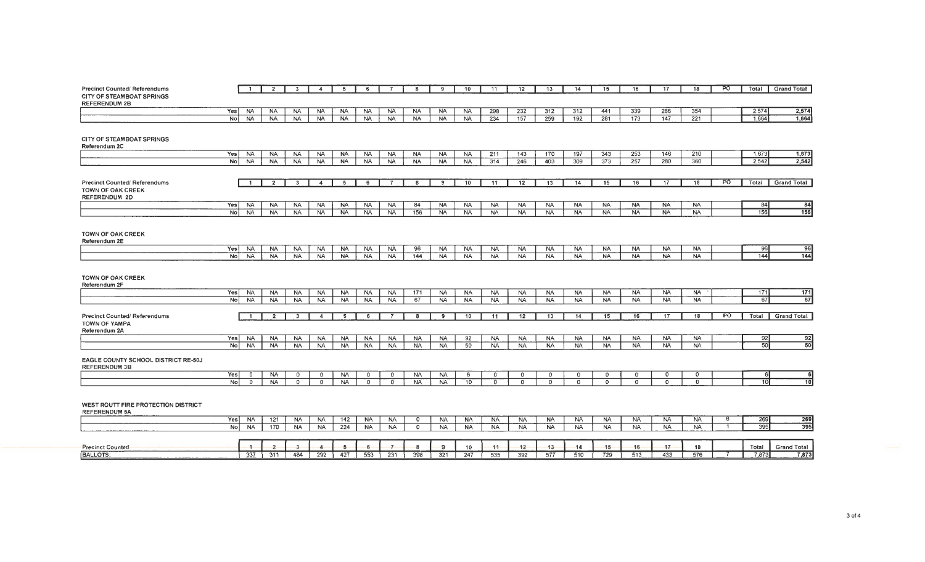| <b>Precinct Counted/ Referendums</b> |                       | -1                      | $\mathbf{2}$           | $\mathbf{3}$            | $\overline{4}$          | -5        | 6            |             | 8         | 9              | 10        | 11              | 12         | 13             | 14          | 15        | 16        | 17        | 18        | <b>PO</b> | Total           | <b>Grand Total</b> |
|--------------------------------------|-----------------------|-------------------------|------------------------|-------------------------|-------------------------|-----------|--------------|-------------|-----------|----------------|-----------|-----------------|------------|----------------|-------------|-----------|-----------|-----------|-----------|-----------|-----------------|--------------------|
| <b>CITY OF STEAMBOAT SPRINGS</b>     |                       |                         |                        |                         |                         |           |              |             |           |                |           |                 |            |                |             |           |           |           |           |           |                 |                    |
| <b>REFERENDUM 2B</b>                 |                       |                         |                        |                         | <b>NA</b>               | <b>NA</b> | <b>NA</b>    | <b>NA</b>   | <b>NA</b> | <b>NA</b>      | <b>NA</b> |                 |            |                |             | 441       | 339       | 286       | 354       |           | 2,574           | 2,574              |
|                                      | Yes<br>N <sub>o</sub> | <b>NA</b><br><b>NA</b>  | <b>NA</b><br><b>NA</b> | <b>NA</b><br><b>NA</b>  | <b>NA</b>               | <b>NA</b> | <b>NA</b>    | <b>NA</b>   | <b>NA</b> | <b>NA</b>      | <b>NA</b> | 298<br>234      | 232<br>157 | 312<br>259     | 312<br>192  | 281       | 173       | 147       | 221       |           | 1.664           | 1,664              |
|                                      |                       |                         |                        |                         |                         |           |              |             |           |                |           |                 |            |                |             |           |           |           |           |           |                 |                    |
|                                      |                       |                         |                        |                         |                         |           |              |             |           |                |           |                 |            |                |             |           |           |           |           |           |                 |                    |
| <b>CITY OF STEAMBOAT SPRINGS</b>     |                       |                         |                        |                         |                         |           |              |             |           |                |           |                 |            |                |             |           |           |           |           |           |                 |                    |
| Referendum 2C                        |                       |                         |                        |                         |                         |           |              |             |           |                |           |                 |            |                |             |           |           |           |           |           |                 |                    |
|                                      | Yes                   | <b>NA</b>               | <b>NA</b>              | <b>NA</b>               | <b>NA</b>               | <b>NA</b> | <b>NA</b>    | <b>NA</b>   | <b>NA</b> | <b>NA</b>      | <b>NA</b> | 211             | 143        | 170            | 197         | 343       | 253       | 146       | 210       |           | 1,673           | 1,673              |
|                                      | N <sub>o</sub>        | <b>NA</b>               | <b>NA</b>              | <b>NA</b>               | <b>NA</b>               | <b>NA</b> | <b>NA</b>    | <b>NA</b>   | <b>NA</b> | <b>NA</b>      | <b>NA</b> | 314             | 246        | 403            | 309         | 373       | 257       | 280       | 360       |           | 2.542           | 2,542              |
|                                      |                       |                         |                        |                         |                         |           |              |             |           |                |           |                 |            |                |             |           |           |           |           |           |                 |                    |
| <b>Precinct Counted/ Referendums</b> |                       | $\mathbf{1}$            | $\overline{2}$         | $\overline{\mathbf{3}}$ | $\overline{4}$          | 5         | 6            |             | 8         | 9              | 10        | $\overline{11}$ | 12         | 13             | 14          | 15        | 16        | 17        | 18        | <b>PO</b> | Total           | <b>Grand Total</b> |
| <b>TOWN OF OAK CREEK</b>             |                       |                         |                        |                         |                         |           |              |             |           |                |           |                 |            |                |             |           |           |           |           |           |                 |                    |
| <b>REFERENDUM 2D</b>                 |                       |                         |                        |                         |                         |           |              |             |           |                |           |                 |            |                |             |           |           |           |           |           |                 |                    |
|                                      | Yes                   | <b>NA</b>               | <b>NA</b>              | <b>NA</b>               | <b>NA</b>               | <b>NA</b> | <b>NA</b>    | <b>NA</b>   | 84        | <b>NA</b>      | <b>NA</b> | <b>NA</b>       | <b>NA</b>  | <b>NA</b>      | <b>NA</b>   | <b>NA</b> | <b>NA</b> | <b>NA</b> | <b>NA</b> |           | 84              | 84                 |
|                                      | No l                  | <b>NA</b>               | <b>NA</b>              | <b>NA</b>               | <b>NA</b>               | NA        | NA           | <b>NA</b>   | 156       | <b>NA</b>      | <b>NA</b> | <b>NA</b>       | <b>NA</b>  | NA             | <b>NA</b>   | <b>NA</b> | <b>NA</b> | <b>NA</b> | <b>NA</b> |           | 156             | 756                |
|                                      |                       |                         |                        |                         |                         |           |              |             |           |                |           |                 |            |                |             |           |           |           |           |           |                 |                    |
|                                      |                       |                         |                        |                         |                         |           |              |             |           |                |           |                 |            |                |             |           |           |           |           |           |                 |                    |
| <b>TOWN OF OAK CREEK</b>             |                       |                         |                        |                         |                         |           |              |             |           |                |           |                 |            |                |             |           |           |           |           |           |                 |                    |
| Referendum 2E                        |                       |                         |                        |                         |                         |           |              |             |           |                |           |                 |            |                |             |           |           |           |           |           |                 |                    |
|                                      | Yes                   | <b>NA</b>               | <b>NA</b>              | <b>NA</b>               | NA.                     | <b>NA</b> | NA.          | <b>NA</b>   | 96        | <b>NA</b>      | <b>NA</b> | <b>NA</b>       | <b>NA</b>  | <b>NA</b>      | <b>NA</b>   | <b>NA</b> | <b>NA</b> | <b>NA</b> | <b>NA</b> |           | 96<br>144       | 96<br>$144$        |
|                                      | No                    | <b>NA</b>               | <b>NA</b>              | <b>NA</b>               | <b>NA</b>               | <b>NA</b> | <b>NA</b>    | <b>NA</b>   | 144       | <b>NA</b>      | <b>NA</b> | NA.             | <b>NA</b>  | <b>NA</b>      | <b>NA</b>   | <b>NA</b> | <b>NA</b> | <b>NA</b> | <b>NA</b> |           |                 |                    |
|                                      |                       |                         |                        |                         |                         |           |              |             |           |                |           |                 |            |                |             |           |           |           |           |           |                 |                    |
| <b>TOWN OF OAK CREEK</b>             |                       |                         |                        |                         |                         |           |              |             |           |                |           |                 |            |                |             |           |           |           |           |           |                 |                    |
| Referendum 2F                        |                       |                         |                        |                         |                         |           |              |             |           |                |           |                 |            |                |             |           |           |           |           |           |                 |                    |
|                                      | Yes                   | <b>NA</b>               | <b>NA</b>              | <b>NA</b>               | <b>NA</b>               | <b>NA</b> | <b>NA</b>    | <b>NA</b>   | 171       | <b>NA</b>      | <b>NA</b> | <b>NA</b>       | <b>NA</b>  | <b>NA</b>      | <b>NA</b>   | <b>NA</b> | <b>NA</b> | <b>NA</b> | <b>NA</b> |           | 171             | 171                |
|                                      | No                    | <b>NA</b>               | <b>NA</b>              | <b>NA</b>               | <b>NA</b>               | <b>NA</b> | <b>NA</b>    | <b>NA</b>   | 67        | <b>NA</b>      | <b>NA</b> | <b>NA</b>       | <b>NA</b>  | <b>NA</b>      | <b>NA</b>   | <b>NA</b> | <b>NA</b> | <b>NA</b> | <b>NA</b> |           | 67              | 67                 |
|                                      |                       |                         |                        |                         |                         |           |              |             |           |                |           |                 |            |                |             |           |           |           |           |           |                 |                    |
| <b>Precinct Counted/ Referendums</b> |                       | $\mathbf{1}$            | $\overline{2}$         | $\mathbf{3}$            | $\overline{\mathbf{4}}$ | - 5       | - 6          |             | 8         | 9              | 10        | 11              | 12         | 13             | 14          | 15        | 16        | 17        | 18        | <b>PO</b> | Total           | <b>Grand Total</b> |
| <b>TOWN OF YAMPA</b>                 |                       |                         |                        |                         |                         |           |              |             |           |                |           |                 |            |                |             |           |           |           |           |           |                 |                    |
| Referendum 2A                        |                       |                         |                        |                         |                         |           |              |             |           |                |           |                 |            |                |             |           |           |           |           |           |                 |                    |
|                                      | Yes                   | <b>NA</b>               | NA.                    | <b>NA</b>               | <b>NA</b>               | <b>NA</b> | <b>NA</b>    | <b>NA</b>   | <b>NA</b> | <b>NA</b>      | 92        | <b>NA</b>       | <b>NA</b>  | <b>NA</b>      | <b>NA</b>   | <b>NA</b> | <b>NA</b> | <b>NA</b> | <b>NA</b> |           | 92              | 92                 |
|                                      | No1                   | <b>NA</b>               | <b>NA</b>              | <b>NA</b>               | <b>NA</b>               | <b>NA</b> | <b>NA</b>    | <b>NA</b>   | <b>NA</b> | <b>NA</b>      | 50        | <b>NA</b>       | <b>NA</b>  | NA.            | <b>NA</b>   | <b>NA</b> | <b>NA</b> | <b>NA</b> | <b>NA</b> |           | 50              | 50                 |
|                                      |                       |                         |                        |                         |                         |           |              |             |           |                |           |                 |            |                |             |           |           |           |           |           |                 |                    |
| EAGLE COUNTY SCHOOL DISTRICT RE-50J  |                       |                         |                        |                         |                         |           |              |             |           |                |           |                 |            |                |             |           |           |           |           |           |                 |                    |
| <b>REFERENDUM 3B</b>                 | Yes                   | $\overline{\mathbf{0}}$ | NA.                    | $\mathbf{0}$            | $\circ$                 | <b>NA</b> | $\mathbf{0}$ | $\mathbf 0$ | NA.       | <b>NA</b>      | 6         | $\circ$         | 0          | 0              | $\mathbf 0$ | $\circ$   | $\circ$   | $\circ$   | 0         |           | -6              |                    |
|                                      | No                    | $\mathbf{0}$            | <b>NA</b>              | $\mathbf{0}$            | $\circ$                 | <b>NA</b> | Ō            | $\Omega$    | <b>NA</b> | NA <sup></sup> | 10        | $\Omega$        | $\circ$    | $\overline{0}$ | $\circ$     | $\circ$   | $\Omega$  | $\Omega$  | $\Omega$  |           | $\overline{10}$ | 6<br>10            |
|                                      |                       |                         |                        |                         |                         |           |              |             |           |                |           |                 |            |                |             |           |           |           |           |           |                 |                    |
|                                      |                       |                         |                        |                         |                         |           |              |             |           |                |           |                 |            |                |             |           |           |           |           |           |                 |                    |
| WEST ROUTT FIRE PROTECTION DISTRICT  |                       |                         |                        |                         |                         |           |              |             |           |                |           |                 |            |                |             |           |           |           |           |           |                 |                    |
| <b>REFERENDUM 5A</b>                 |                       |                         |                        |                         |                         |           |              |             |           |                |           |                 |            |                |             |           |           |           |           |           |                 |                    |
|                                      | Yes                   | <b>NA</b>               | 121                    | <b>NA</b>               | <b>NA</b>               | 142       | <b>NA</b>    | <b>NA</b>   | $\circ$   | <b>NA</b>      | <b>NA</b> | <b>NA</b>       | <b>NA</b>  | <b>NA</b>      | <b>NA</b>   | <b>NA</b> | <b>NA</b> | <b>NA</b> | <b>NA</b> | 6         | 269             | 269                |
|                                      | N <sub>o</sub>        | <b>NA</b>               | 170                    | <b>NA</b>               | <b>NA</b>               | 224       | <b>NA</b>    | <b>NA</b>   | $\circ$   | <b>NA</b>      | <b>NA</b> | <b>NA</b>       | <b>NA</b>  | NA.            | <b>NA</b>   | <b>NA</b> | <b>NA</b> | <b>NA</b> | <b>NA</b> |           | 395             | 395                |
|                                      |                       |                         |                        |                         |                         |           |              |             |           |                |           |                 |            |                |             |           |           |           |           |           |                 |                    |
|                                      |                       |                         |                        |                         |                         |           |              |             |           |                |           |                 |            |                |             |           |           |           |           |           |                 |                    |
| <b>Precinct Counted</b>              |                       |                         |                        | 3                       | -4                      | 5         | 6            |             | -8        | -9             | 10        | 11              | 12         | 13             | 14          | 15        | 16        | 17        | 18        |           | Total           | <b>Grand Total</b> |
| <b>BALLOTS:</b>                      |                       | 337                     | 311                    | 484                     | 292                     | 427       | 553          | 231         | 398       | 321            | 247       | 535             | 392        | 577            | 510         | 729       | 513       | 433       | 576       |           | 7,873           | 7,873              |